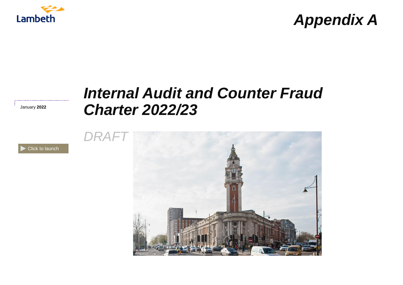

# *Appendix A*

# *Internal Audit and Counter Fraud Charter 2022/23*

January **2022**



[Click to launch](#page-1-0)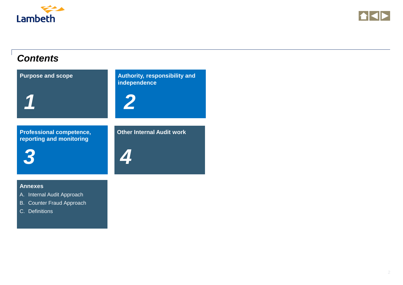<span id="page-1-0"></span>



### *Contents*



- A. Internal Audit Approach
- B. [Counter Fraud Approach](#page-9-0)
- C. Definitions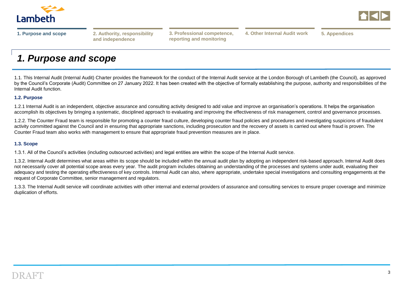<span id="page-2-0"></span>



**and independence**

**reporting and monitoring**

**[1. Purpose and scope](#page-2-0) [2. Authority, responsibility](#page-3-0) [5. Appendices](#page-9-0) 3. Professional competence, 4. Other Internal Audit work**

# *1. Purpose and scope*

1.1. This Internal Audit (Internal Audit) Charter provides the framework for the conduct of the Internal Audit service at the London Borough of Lambeth (the Council), as approved by the Council's Corporate (Audit) Committee on 27 January 2022. It has been created with the objective of formally establishing the purpose, authority and responsibilities of the Internal Audit function.

#### **1.2. Purpose**

1.2.1 Internal Audit is an independent, objective assurance and consulting activity designed to add value and improve an organisation's operations. It helps the organisation accomplish its objectives by bringing a systematic, disciplined approach to evaluating and improving the effectiveness of risk management, control and governance processes.

1.2.2. The Counter Fraud team is responsible for promoting a counter fraud culture, developing counter fraud policies and procedures and investigating suspicions of fraudulent activity committed against the Council and in ensuring that appropriate sanctions, including prosecution and the recovery of assets is carried out where fraud is proven. The Counter Fraud team also works with management to ensure that appropriate fraud prevention measures are in place.

#### **1.3. Scope**

1.3.1. All of the Council's activities (including outsourced activities) and legal entities are within the scope of the Internal Audit service.

1.3.2. Internal Audit determines what areas within its scope should be included within the annual audit plan by adopting an independent risk-based approach. Internal Audit does not necessarily cover all potential scope areas every year. The audit program includes obtaining an understanding of the processes and systems under audit, evaluating their adequacy and testing the operating effectiveness of key controls. Internal Audit can also, where appropriate, undertake special investigations and consulting engagements at the request of Corporate Committee, senior management and regulators.

1.3.3. The Internal Audit service will coordinate activities with other internal and external providers of assurance and consulting services to ensure proper coverage and minimize duplication of efforts.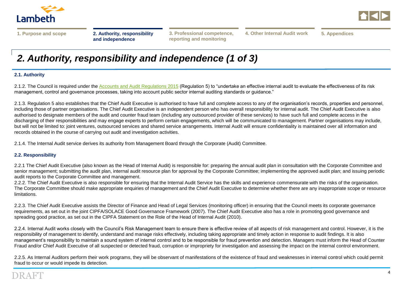<span id="page-3-0"></span>



**[3. Professional competence,](#page-6-0) [5. Appendices](#page-9-0) reporting and monitoring**

**4. Other Internal Audit work**

# *2. Authority, responsibility and independence (1 of 3)*

#### **2.1. Authority**

2.1.2. The Council is required under the [Accounts and Audit Regulations 2015](http://www.legislation.gov.uk/uksi/2015/234/pdfs/uksi_20150234_en.pdf) (Regulation 5) to "undertake an effective internal audit to evaluate the effectiveness of its risk management, control and governance processes, taking into account public sector internal auditing standards or guidance."

2.1.3. Regulation 5 also establishes that the Chief Audit Executive is authorised to have full and complete access to any of the organisation's records, properties and personnel, including those of partner organisations. The Chief Audit Executive is an independent person who has overall responsibility for internal audit. The Chief Audit Executive is also authorised to designate members of the audit and counter fraud team (including any outsourced provider of these services) to have such full and complete access in the discharging of their responsibilities and may engage experts to perform certain engagements, which will be communicated to management. Partner organisations may include, but will not be limited to: joint ventures, outsourced services and shared service arrangements. Internal Audit will ensure confidentiality is maintained over all information and records obtained in the course of carrying out audit and investigation activities.

2.1.4. The Internal Audit service derives its authority from Management Board through the Corporate (Audit) Committee.

#### **2.2. Responsibility**

2.2.1 The Chief Audit Executive (also known as the Head of Internal Audit) is responsible for: preparing the annual audit plan in consultation with the Corporate Committee and senior management; submitting the audit plan, internal audit resource plan for approval by the Corporate Committee; implementing the approved audit plan; and issuing periodic audit reports to the Corporate Committee and management.

2.2.2. The Chief Audit Executive is also responsible for ensuring that the Internal Audit Service has the skills and experience commensurate with the risks of the organisation. The Corporate Committee should make appropriate enquiries of management and the Chief Audit Executive to determine whether there are any inappropriate scope or resource limitations.

2.2.3. The Chief Audit Executive assists the Director of Finance and Head of Legal Services (monitoring officer) in ensuring that the Council meets its corporate governance requirements, as set out in the joint CIPFA/SOLACE Good Governance Framework (2007). The Chief Audit Executive also has a role in promoting good governance and spreading good practice, as set out in the CIPFA Statement on the Role of the Head of Internal Audit (2010).

2.2.4. Internal Audit works closely with the Council's Risk Management team to ensure there is effective review of all aspects of risk management and control. However, it is the responsibility of management to identify, understand and manage risks effectively, including taking appropriate and timely action in response to audit findings. It is also management's responsibility to maintain a sound system of internal control and to be responsible for fraud prevention and detection. Managers must inform the Head of Counter Fraud and/or Chief Audit Executive of all suspected or detected fraud, corruption or impropriety for investigation and assessing the impact on the internal control environment.

2.2.5. As Internal Auditors perform their work programs, they will be observant of manifestations of the existence of fraud and weaknesses in internal control which could permit fraud to occur or would impede its detection.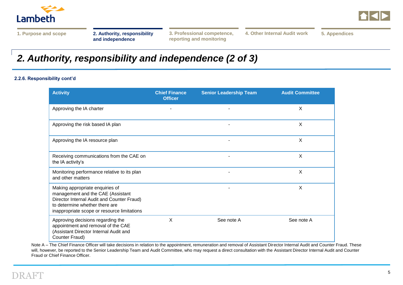



**[3. Professional competence,](#page-6-0) [5. Appendices](#page-9-0) reporting and monitoring**

**4. Other Internal Audit work**

# *2. Authority, responsibility and independence (2 of 3)*

#### **2.2.6. Responsibility cont'd**

| <b>Activity</b>                                                                                                                                                                                     | <b>Chief Finance</b><br><b>Officer</b> | <b>Senior Leadership Team</b> | <b>Audit Committee</b> |
|-----------------------------------------------------------------------------------------------------------------------------------------------------------------------------------------------------|----------------------------------------|-------------------------------|------------------------|
| Approving the IA charter                                                                                                                                                                            |                                        | ٠                             | X                      |
| Approving the risk based IA plan                                                                                                                                                                    |                                        |                               | X                      |
| Approving the IA resource plan                                                                                                                                                                      |                                        |                               | X                      |
| Receiving communications from the CAE on<br>the IA activity's                                                                                                                                       |                                        |                               | X                      |
| Monitoring performance relative to its plan<br>and other matters                                                                                                                                    |                                        |                               | X                      |
| Making appropriate enquiries of<br>management and the CAE (Assistant<br>Director Internal Audit and Counter Fraud)<br>to determine whether there are<br>inappropriate scope or resource limitations |                                        |                               | X                      |
| Approving decisions regarding the<br>appointment and removal of the CAE<br>(Assistant Director Internal Audit and<br>Counter Fraud)                                                                 | X                                      | See note A                    | See note A             |

Note A – The Chief Finance Officer will take decisions in relation to the appointment, remuneration and removal of Assistant Director Internal Audit and Counter Fraud. These will, however, be reported to the Senior Leadership Team and Audit Committee, who may request a direct consultation with the Assistant Director Internal Audit and Counter Fraud or Chief Finance Officer.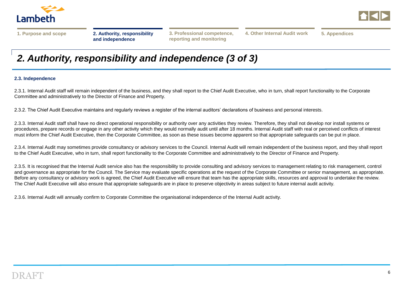



**reporting and monitoring**

**[3. Professional competence,](#page-6-0) [5. Appendices](#page-9-0) 4. Other Internal Audit work**

## *2. Authority, responsibility and independence (3 of 3)*

#### **2.3. Independence**

2.3.1. Internal Audit staff will remain independent of the business, and they shall report to the Chief Audit Executive, who in turn, shall report functionality to the Corporate Committee and administratively to the Director of Finance and Property.

2.3.2. The Chief Audit Executive maintains and regularly reviews a register of the internal auditors' declarations of business and personal interests.

2.3.3. Internal Audit staff shall have no direct operational responsibility or authority over any activities they review. Therefore, they shall not develop nor install systems or procedures, prepare records or engage in any other activity which they would normally audit until after 18 months. Internal Audit staff with real or perceived conflicts of interest must inform the Chief Audit Executive, then the Corporate Committee, as soon as these issues become apparent so that appropriate safeguards can be put in place.

2.3.4. Internal Audit may sometimes provide consultancy or advisory services to the Council. Internal Audit will remain independent of the business report, and they shall report to the Chief Audit Executive, who in turn, shall report functionality to the Corporate Committee and administratively to the Director of Finance and Property.

2.3.5. It is recognised that the Internal Audit service also has the responsibility to provide consulting and advisory services to management relating to risk management, control and governance as appropriate for the Council. The Service may evaluate specific operations at the request of the Corporate Committee or senior management, as appropriate. Before any consultancy or advisory work is agreed, the Chief Audit Executive will ensure that team has the appropriate skills, resources and approval to undertake the review. The Chief Audit Executive will also ensure that appropriate safeguards are in place to preserve objectivity in areas subject to future internal audit activity.

2.3.6. Internal Audit will annually confirm to Corporate Committee the organisational independence of the Internal Audit activity.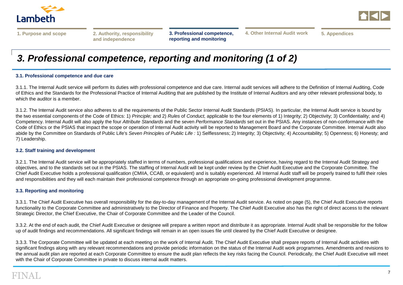<span id="page-6-0"></span>



**[3. Professional competence,](#page-6-0)  reporting and monitoring**

**[4. Other Internal Audit work](#page-8-0) [5. Appendices](#page-9-0)**

# *3. Professional competence, reporting and monitoring (1 of 2)*

#### **3.1. Professional competence and due care**

3.1.1. The Internal Audit service will perform its duties with professional competence and due care. Internal audit services will adhere to the Definition of Internal Auditing, Code of Ethics and the Standards for the Professional Practice of Internal Auditing that are published by the Institute of Internal Auditors and any other relevant professional body, to which the auditor is a member.

3.1.2. The Internal Audit service also adheres to all the requirements of the Public Sector Internal Audit Standards (PSIAS). In particular, the Internal Audit service is bound by the two essential components of the Code of Ethics: 1) *Principle;* and 2) *Rules* of *Conduct,* applicable to the four elements of 1) Integrity; 2) Objectivity; 3) Confidentiality; and 4) Competency. Internal Audit will also apply the four *Attribute Standards* and the seven *Performance Standards* set out in the PSIAS. Any instances of non-conformance with the Code of Ethics or the PSIAS that impact the scope or operation of Internal Audit activity will be reported to Management Board and the Corporate Committee. Internal Audit also abide by the Committee on Standards of Public Life's *Seven Principles of Public Life :* 1) Selflessness; 2) Integrity; 3) Objectivity; 4) Accountability; 5) Openness; 6) Honesty; and 7) Leadership.

#### **3.2. Staff training and development**

3.2.1. The Internal Audit service will be appropriately staffed in terms of numbers, professional qualifications and experience, having regard to the Internal Audit Strategy and objectives, and to the standards set out in the PSIAS. The staffing of Internal Audit will be kept under review by the Chief Audit Executive and the Corporate Committee. The Chief Audit Executive holds a professional qualification (CMIIA, CCAB, or equivalent) and is suitably experienced. All Internal Audit staff will be properly trained to fulfil their roles and responsibilities and they will each maintain their professional competence through an appropriate on-going professional development programme.

#### **3.3. Reporting and monitoring**

3.3.1. The Chief Audit Executive has overall responsibility for the day-to-day management of the Internal Audit service. As noted on page (5), the Chief Audit Executive reports functionality to the Corporate Committee and administratively to the Director of Finance and Property. The Chief Audit Executive also has the right of direct access to the relevant Strategic Director, the Chief Executive, the Chair of Corporate Committee and the Leader of the Council.

3.3.2. At the end of each audit, the Chief Audit Executive or designee will prepare a written report and distribute it as appropriate. Internal Audit shall be responsible for the follow up of audit findings and recommendations. All significant findings will remain in an open issues file until cleared by the Chief Audit Executive or designee.

3.3.3. The Corporate Committee will be updated at each meeting on the work of Internal Audit. The Chief Audit Executive shall prepare reports of Internal Audit activities with significant findings along with any relevant recommendations and provide periodic information on the status of the Internal Audit work programmes. Amendments and revisions to the annual audit plan are reported at each Corporate Committee to ensure the audit plan reflects the key risks facing the Council. Periodically, the Chief Audit Executive will meet with the Chair of Corporate Committee in private to discuss internal audit matters.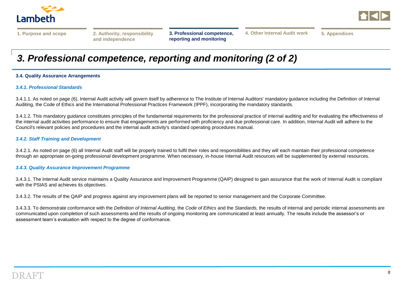



**[4. Other Internal Audit work](#page-8-0) [5. Appendices](#page-9-0)**

# *3. Professional competence, reporting and monitoring (2 of 2)*

#### **3.4. Quality Assurance Arrangements**

#### *3.4.1. Professional Standards*

3.4.1.1. As noted on page (6), Internal Audit activity will govern itself by adherence to The Institute of Internal Auditors' mandatory guidance including the Definition of Internal Auditing, the Code of Ethics and the International Professional Practices Framework (IPPF), incorporating the mandatory standards.

3.4.1.2. This mandatory guidance constitutes principles of the fundamental requirements for the professional practice of internal auditing and for evaluating the effectiveness of the internal audit activities performance to ensure that engagements are performed with proficiency and due professional care. In addition, Internal Audit will adhere to the Council's relevant policies and procedures and the internal audit activity's standard operating procedures manual.

#### *3.4.2. Staff Training and Development*

3.4.2.1. As noted on page (6) all Internal Audit staff will be properly trained to fulfil their roles and responsibilities and they will each maintain their professional competence through an appropriate on-going professional development programme. When necessary, in-house Internal Audit resources will be supplemented by external resources.

#### *3.4.3. Quality Assurance Improvement Programme*

3.4.3.1. The Internal Audit service maintains a Quality Assurance and Improvement Programme (QAIP) designed to gain assurance that the work of Internal Audit is compliant with the PSIAS and achieves its objectives.

3.4.3.2. The results of the QAIP and progress against any improvement plans will be reported to senior management and the Corporate Committee.

3.4.3.3. To demonstrate conformance with the *Definition of Internal Auditing,* the *Code of Ethics* and the *Standards,* the results of internal and periodic internal assessments are communicated upon completion of such assessments and the results of ongoing monitoring are communicated at least annually. The results include the assessor's or assessment team's evaluation with respect to the degree of conformance.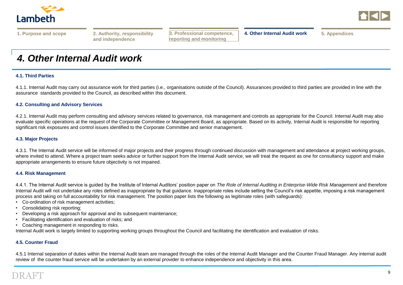<span id="page-8-0"></span>



|  |  | 1. Purpose and scope |  |
|--|--|----------------------|--|

**and independence**

**reporting and monitoring**

**3. Professional competence, [1. Purpose and scope](#page-2-0) [2. Authority, responsibility](#page-3-0) [4. Other Internal Audit work](#page-8-0) [5. Appendices](#page-9-0)**

### *4. Other Internal Audit work*

#### **4.1. Third Parties**

4.1.1. Internal Audit may carry out assurance work for third parties (i.e., organisations outside of the Council). Assurances provided to third parties are provided in line with the assurance standards provided to the Council, as described within this document.

#### **4.2. Consulting and Advisory Services**

4.2.1. Internal Audit may perform consulting and advisory services related to governance, risk management and controls as appropriate for the Council. Internal Audit may also evaluate specific operations at the request of the Corporate Committee or Management Board, as appropriate. Based on its activity, Internal Audit is responsible for reporting significant risk exposures and control issues identified to the Corporate Committee and senior management.

#### **4.3. Major Projects**

4.3.1. The Internal Audit service will be informed of major projects and their progress through continued discussion with management and attendance at project working groups, where invited to attend. Where a project team seeks advice or further support from the Internal Audit service, we will treat the request as one for consultancy support and make appropriate arrangements to ensure future objectivity is not impaired.

#### **4.4. Risk Management**

4.4.1. The Internal Audit service is guided by the Institute of Internal Auditors' position paper on *The Role of Internal Auditing in Enterprise-Wide Risk Management* and therefore Internal Audit will not undertake any roles defined as inappropriate by that guidance. Inappropriate roles include setting the Council's risk appetite, imposing a risk management process and taking on full accountability for risk management. The position paper lists the following as legitimate roles (with safeguards):

- Co-ordination of risk management activities;
- Consolidating risk reporting;
- Developing a risk approach for approval and its subsequent maintenance;
- Facilitating identification and evaluation of risks; and
- Coaching management in responding to risks.

Internal Audit work is largely limited to supporting working groups throughout the Council and facilitating the identification and evaluation of risks.

#### **4.5. Counter Fraud**

4.5.1 Internal separation of duties within the Internal Audit team are managed through the roles of the Internal Audit Manager and the Counter Fraud Manager. Any internal audit review of the counter fraud service will be undertaken by an external provider to enhance independence and objectivity in this area.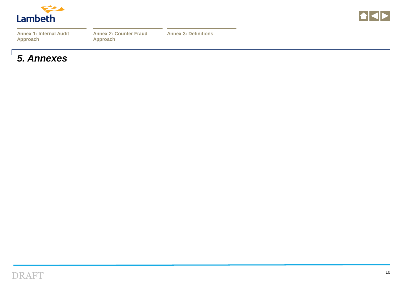<span id="page-9-0"></span>

|--|--|--|

| <b>Annex 1: Internal Audit</b> |  |  |
|--------------------------------|--|--|
| <b>Approach</b>                |  |  |

**[Annex 3: Definitions](#page-11-0)**

### *5. Annexes*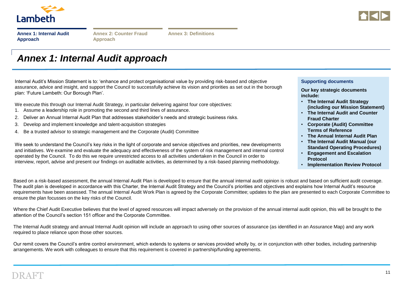<span id="page-10-0"></span>



|                 | <b>Annex 1: Internal Audit</b> |
|-----------------|--------------------------------|
| <b>Approach</b> |                                |

**[Annex 3: Definitions](#page-11-0)**

### *Annex 1: Internal Audit approach*

Internal Audit's Mission Statement is to: 'enhance and protect organisational value by providing risk-based and objective assurance, advice and insight, and support the Council to successfully achieve its vision and priorities as set out in the borough plan: 'Future Lambeth: Our Borough Plan'.

We execute this through our Internal Audit Strategy, in particular delivering against four core objectives:

- 1. Assume a leadership role in promoting the second and third lines of assurance.
- 2. Deliver an Annual Internal Audit Plan that addresses stakeholder's needs and strategic business risks.
- 3. Develop and implement knowledge and talent-acquisition strategies
- 4. Be a trusted advisor to strategic management and the Corporate (Audit) Committee

**Supporting documents**

**Our key strategic documents include:**

- **The Internal Audit Strategy (including our Mission Statement)**
- **The Internal Audit and Counter Fraud Charter**
- **Corporate (Audit) Committee Terms of Reference**
- **The Annual Internal Audit Plan**
- **The Internal Audit Manual (our Standard Operating Procedures)**
- **Engagement and Escalation Protocol**
- **Implementation Review Protocol**

We seek to understand the Council's key risks in the light of corporate and service objectives and priorities, new developments and initiatives. We examine and evaluate the adequacy and effectiveness of the system of risk management and internal control operated by the Council. To do this we require unrestricted access to all activities undertaken in the Council in order to interview, report, advise and present our findings on auditable activities, as determined by a risk-based planning methodology.

Based on a risk-based assessment, the annual Internal Audit Plan is developed to ensure that the annual internal audit opinion is robust and based on sufficient audit coverage. The audit plan is developed in accordance with this Charter, the Internal Audit Strategy and the Council's priorities and objectives and explains how Internal Audit's resource requirements have been assessed. The annual Internal Audit Work Plan is agreed by the Corporate Committee; updates to the plan are presented to each Corporate Committee to ensure the plan focusses on the key risks of the Council.

Where the Chief Audit Executive believes that the level of agreed resources will impact adversely on the provision of the annual internal audit opinion, this will be brought to the attention of the Council's section 151 officer and the Corporate Committee.

The Internal Audit strategy and annual Internal Audit opinion will include an approach to using other sources of assurance (as identified in an Assurance Map) and any work required to place reliance upon those other sources.

Our remit covers the Council's entire control environment, which extends to systems or services provided wholly by, or in conjunction with other bodies, including partnership arrangements. We work with colleagues to ensure that this requirement is covered in partnership/funding agreements.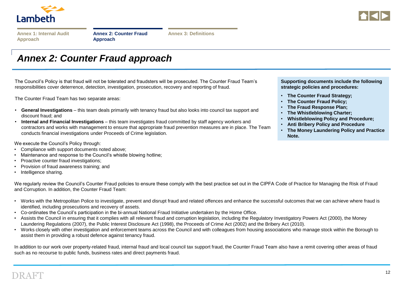<span id="page-11-0"></span>



|  |  |                 |  |  |  | Annex 1: Internal Audit |  |  |  |
|--|--|-----------------|--|--|--|-------------------------|--|--|--|
|  |  | <b>Approach</b> |  |  |  |                         |  |  |  |

**[Annex 3: Definitions](#page-11-0)**

### *Annex 2: Counter Fraud approach*

The Council's Policy is that fraud will not be tolerated and fraudsters will be prosecuted. The Counter Fraud Team's responsibilities cover deterrence, detection, investigation, prosecution, recovery and reporting of fraud.

The Counter Fraud Team has two separate areas:

- **General Investigations** this team deals primarily with tenancy fraud but also looks into council tax support and discount fraud; and
- **Internal and Financial Investigations** this team investigates fraud committed by staff agency workers and contractors and works with management to ensure that appropriate fraud prevention measures are in place. The Team conducts financial investigations under Proceeds of Crime legislation.

We execute the Council's Policy through:

- Compliance with support documents noted above;
- Maintenance and response to the Council's whistle blowing hotline;
- Proactive counter fraud investigations;
- Provision of fraud awareness training; and
- Intelligence sharing.

We regularly review the Council's Counter Fraud policies to ensure these comply with the best practice set out in the CIPFA Code of Practice for Managing the Risk of Fraud and Corruption. In addition, the Counter Fraud Team:

- Works with the Metropolitan Police to investigate, prevent and disrupt fraud and related offences and enhance the successful outcomes that we can achieve where fraud is identified, including prosecutions and recovery of assets.
- Co-ordinates the Council's participation in the bi-annual National Fraud Initiative undertaken by the Home Office.
- Assists the Council in ensuring that it complies with all relevant fraud and corruption legislation, including the Regulatory Investigatory Powers Act (2000), the Money Laundering Regulations (2007), the Public Interest Disclosure Act (1998), the Proceeds of Crime Act (2002) and the Bribery Act (2010).
- Works closely with other investigation and enforcement teams across the Council and with colleagues from housing associations who manage stock within the Borough to assist them in providing a robust defence against tenancy fraud.

In addition to our work over property-related fraud, internal fraud and local council tax support fraud, the Counter Fraud Team also have a remit covering other areas of fraud such as no recourse to public funds, business rates and direct payments fraud.

**Supporting documents include the following strategic policies and procedures:**

- **The Counter Fraud Strategy;**
- **The Counter Fraud Policy;**
- **The Fraud Response Plan;**
- **The Whistleblowing Charter;**
- **Whistleblowing Policy and Procedure;**
- **Anti Bribery Policy and Procedure**
- **The Money Laundering Policy and Practice Note.**